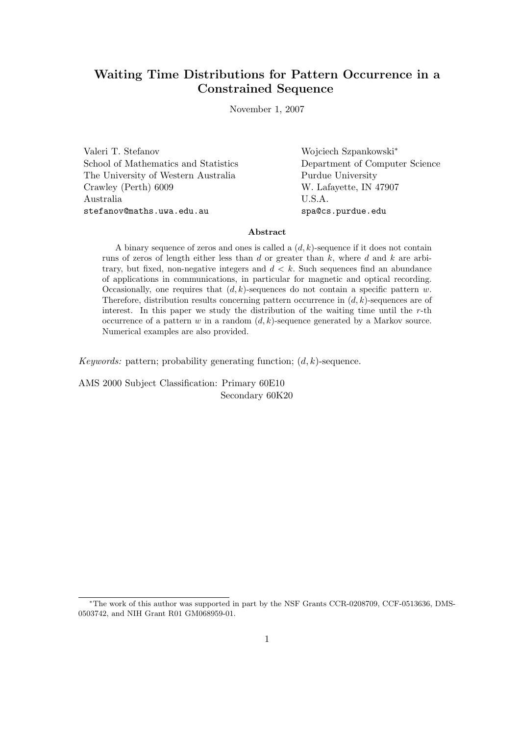# Waiting Time Distributions for Pattern Occurrence in a Constrained Sequence

November 1, 2007

Valeri T. Stefanov Wojciech Szpankowski<sup>∗</sup> School of Mathematics and Statistics Department of Computer Science The University of Western Australia Purdue University Crawley (Perth) 6009 W. Lafayette, IN 47907 Australia U.S.A. stefanov@maths.uwa.edu.au spa@cs.purdue.edu

#### Abstract

A binary sequence of zeros and ones is called a  $(d, k)$ -sequence if it does not contain runs of zeros of length either less than  $d$  or greater than  $k$ , where  $d$  and  $k$  are arbitrary, but fixed, non-negative integers and  $d \, \langle \, k \rangle$ . Such sequences find an abundance of applications in communications, in particular for magnetic and optical recording. Occasionally, one requires that  $(d, k)$ -sequences do not contain a specific pattern w. Therefore, distribution results concerning pattern occurrence in  $(d, k)$ -sequences are of interest. In this paper we study the distribution of the waiting time until the  $r$ -th occurrence of a pattern w in a random  $(d, k)$ -sequence generated by a Markov source. Numerical examples are also provided.

Keywords: pattern; probability generating function;  $(d, k)$ -sequence.

AMS 2000 Subject Classification: Primary 60E10 Secondary 60K20

<sup>∗</sup>The work of this author was supported in part by the NSF Grants CCR-0208709, CCF-0513636, DMS-0503742, and NIH Grant R01 GM068959-01.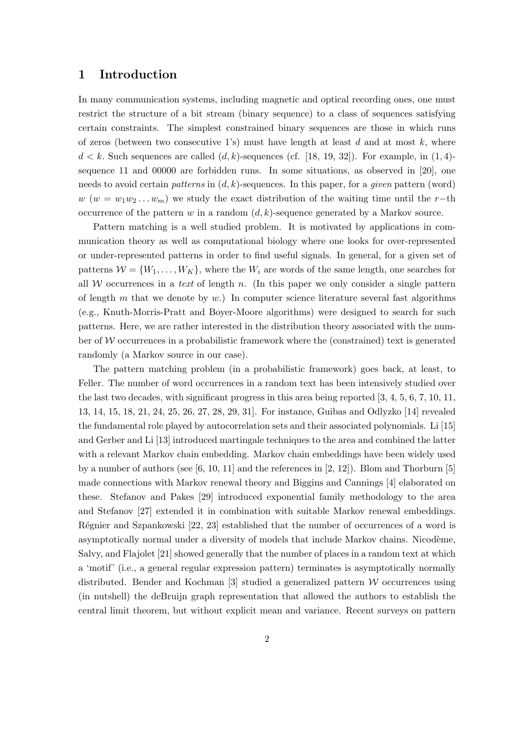## 1 Introduction

In many communication systems, including magnetic and optical recording ones, one must restrict the structure of a bit stream (binary sequence) to a class of sequences satisfying certain constraints. The simplest constrained binary sequences are those in which runs of zeros (between two consecutive 1's) must have length at least d and at most k, where  $d < k$ . Such sequences are called  $(d, k)$ -sequences (cf. [18, 19, 32]). For example, in (1,4)sequence 11 and 00000 are forbidden runs. In some situations, as observed in [20], one needs to avoid certain *patterns* in  $(d, k)$ -sequences. In this paper, for a *given* pattern (word)  $w(w = w_1w_2...w_m)$  we study the exact distribution of the waiting time until the r−th occurrence of the pattern w in a random  $(d, k)$ -sequence generated by a Markov source.

Pattern matching is a well studied problem. It is motivated by applications in communication theory as well as computational biology where one looks for over-represented or under-represented patterns in order to find useful signals. In general, for a given set of patterns  $W = \{W_1, \ldots, W_K\}$ , where the  $W_i$  are words of the same length, one searches for all  $W$  occurrences in a text of length n. (In this paper we only consider a single pattern of length m that we denote by w.) In computer science literature several fast algorithms (e.g., Knuth-Morris-Pratt and Boyer-Moore algorithms) were designed to search for such patterns. Here, we are rather interested in the distribution theory associated with the number of  $W$  occurrences in a probabilistic framework where the (constrained) text is generated randomly (a Markov source in our case).

The pattern matching problem (in a probabilistic framework) goes back, at least, to Feller. The number of word occurrences in a random text has been intensively studied over the last two decades, with significant progress in this area being reported [3, 4, 5, 6, 7, 10, 11, 13, 14, 15, 18, 21, 24, 25, 26, 27, 28, 29, 31]. For instance, Guibas and Odlyzko [14] revealed the fundamental role played by autocorrelation sets and their associated polynomials. Li [15] and Gerber and Li [13] introduced martingale techniques to the area and combined the latter with a relevant Markov chain embedding. Markov chain embeddings have been widely used by a number of authors (see  $[6, 10, 11]$  and the references in  $[2, 12]$ ). Blom and Thorburn  $[5]$ made connections with Markov renewal theory and Biggins and Cannings [4] elaborated on these. Stefanov and Pakes [29] introduced exponential family methodology to the area and Stefanov [27] extended it in combination with suitable Markov renewal embeddings. Régnier and Szpankowski [22, 23] established that the number of occurrences of a word is asymptotically normal under a diversity of models that include Markov chains. Nicodème, Salvy, and Flajolet [21] showed generally that the number of places in a random text at which a 'motif' (i.e., a general regular expression pattern) terminates is asymptotically normally distributed. Bender and Kochman  $\lceil 3 \rceil$  studied a generalized pattern W occurrences using (in nutshell) the deBruijn graph representation that allowed the authors to establish the central limit theorem, but without explicit mean and variance. Recent surveys on pattern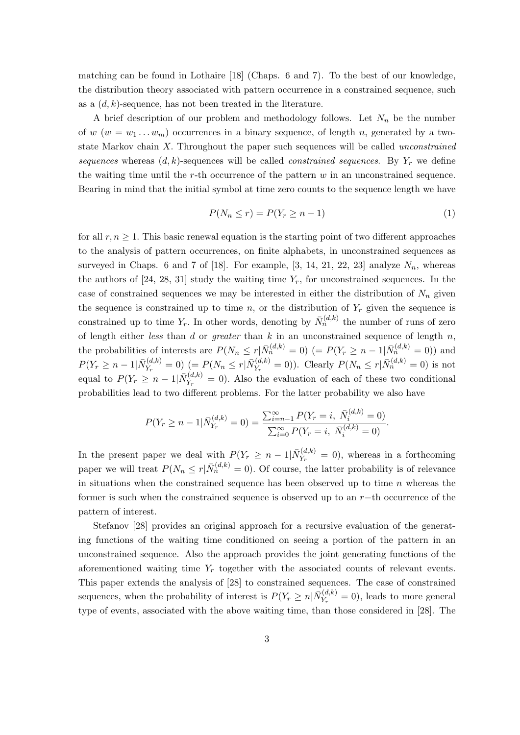matching can be found in Lothaire [18] (Chaps. 6 and 7). To the best of our knowledge, the distribution theory associated with pattern occurrence in a constrained sequence, such as a  $(d, k)$ -sequence, has not been treated in the literature.

A brief description of our problem and methodology follows. Let  $N_n$  be the number of w  $(w = w_1 ... w_m)$  occurrences in a binary sequence, of length n, generated by a twostate Markov chain X. Throughout the paper such sequences will be called unconstrained sequences whereas  $(d, k)$ -sequences will be called *constrained sequences*. By  $Y_r$  we define the waiting time until the r-th occurrence of the pattern  $w$  in an unconstrained sequence. Bearing in mind that the initial symbol at time zero counts to the sequence length we have

$$
P(N_n \le r) = P(Y_r \ge n - 1) \tag{1}
$$

for all  $r, n \geq 1$ . This basic renewal equation is the starting point of two different approaches to the analysis of pattern occurrences, on finite alphabets, in unconstrained sequences as surveyed in Chaps. 6 and 7 of [18]. For example, [3, 14, 21, 22, 23] analyze  $N_n$ , whereas the authors of [24, 28, 31] study the waiting time  $Y_r$ , for unconstrained sequences. In the case of constrained sequences we may be interested in either the distribution of  $N_n$  given the sequence is constrained up to time n, or the distribution of  $Y_r$  given the sequence is constrained up to time  $Y_r$ . In other words, denoting by  $\bar{N}_n^{(d,k)}$  the number of runs of zero of length either less than d or greater than  $k$  in an unconstrained sequence of length  $n$ , the probabilities of interests are  $P(N_n \le r | \bar{N}_n^{(d,k)} = 0)$  (=  $P(Y_r \ge n - 1 | \bar{N}_n^{(d,k)} = 0)$ ) and  $P(Y_r \geq n-1 | \bar{N}_{Y_r}^{(d,k)})$  $Y_{Y_r}^{(d,k)} = 0$ )  $(= P(N_n \leq r | \bar{N}_{Y_r}^{(d,k)}))$  $Y_{Y_r}^{(d,k)} = 0$ ). Clearly  $P(N_n \le r | \bar{N}_n^{(d,k)} = 0)$  is not equal to  $P(Y_r \geq n-1 | \bar{N}_{Y_r}^{(d,k)})$  $Y_r^{(u,\kappa)} = 0$ . Also the evaluation of each of these two conditional probabilities lead to two different problems. For the latter probability we also have

$$
P(Y_r \ge n - 1 | \bar{N}_{Y_r}^{(d,k)} = 0) = \frac{\sum_{i=n-1}^{\infty} P(Y_r = i, \ \bar{N}_i^{(d,k)} = 0)}{\sum_{i=0}^{\infty} P(Y_r = i, \ \bar{N}_i^{(d,k)} = 0)}.
$$

In the present paper we deal with  $P(Y_r \geq n-1 | \bar{N}_{Y_r}^{(d,k)})$  $Y_r^{(a,\kappa)} = 0$ , whereas in a forthcoming paper we will treat  $P(N_n \le r | \bar{N}_n^{(d,k)} = 0)$ . Of course, the latter probability is of relevance in situations when the constrained sequence has been observed up to time  $n$  whereas the former is such when the constrained sequence is observed up to an r−th occurrence of the pattern of interest.

Stefanov [28] provides an original approach for a recursive evaluation of the generating functions of the waiting time conditioned on seeing a portion of the pattern in an unconstrained sequence. Also the approach provides the joint generating functions of the aforementioned waiting time  $Y_r$  together with the associated counts of relevant events. This paper extends the analysis of [28] to constrained sequences. The case of constrained sequences, when the probability of interest is  $P(Y_r \geq n | \bar{N}_{Y_r}^{(d,k)})$  $Y_r^{(a,\kappa)}=0$ , leads to more general type of events, associated with the above waiting time, than those considered in [28]. The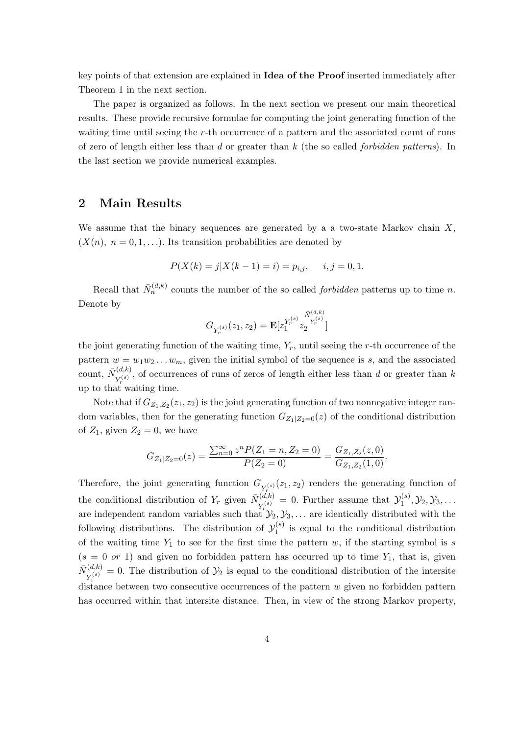key points of that extension are explained in Idea of the Proof inserted immediately after Theorem 1 in the next section.

The paper is organized as follows. In the next section we present our main theoretical results. These provide recursive formulae for computing the joint generating function of the waiting time until seeing the r-th occurrence of a pattern and the associated count of runs of zero of length either less than d or greater than  $k$  (the so called *forbidden patterns*). In the last section we provide numerical examples.

## 2 Main Results

We assume that the binary sequences are generated by a a two-state Markov chain  $X$ ,  $(X(n), n = 0, 1, \ldots)$ . Its transition probabilities are denoted by

$$
P(X(k) = j | X(k-1) = i) = p_{i,j}, \quad i, j = 0, 1.
$$

Recall that  $\bar{N}_n^{(d,k)}$  counts the number of the so called *forbidden* patterns up to time *n*. Denote by

$$
G_{Y_r^{(s)}}(z_1,z_2) = \mathbf{E}[z_1^{Y_r^{(s)}} z_2^{Y_r^{(s)}}]
$$

the joint generating function of the waiting time,  $Y_r$ , until seeing the r-th occurrence of the pattern  $w = w_1w_2...w_m$ , given the initial symbol of the sequence is s, and the associated count,  $\bar{N}_{\text{r(s)}}^{(d,k)}$  $Y_r^{(a,k)}$ , of occurrences of runs of zeros of length either less than d or greater than k up to that waiting time.

Note that if  $G_{Z_1,Z_2}(z_1, z_2)$  is the joint generating function of two nonnegative integer random variables, then for the generating function  $G_{Z_1|Z_2=0}(z)$  of the conditional distribution of  $Z_1$ , given  $Z_2 = 0$ , we have

$$
G_{Z_1|Z_2=0}(z) = \frac{\sum_{n=0}^{\infty} z^n P(Z_1=n, Z_2=0)}{P(Z_2=0)} = \frac{G_{Z_1, Z_2}(z, 0)}{G_{Z_1, Z_2}(1, 0)}.
$$

Therefore, the joint generating function  $G_{Y_r^{(s)}}(z_1, z_2)$  renders the generating function of the conditional distribution of  $Y_r$  given  $\bar{N}_{s(s)}^{(d,k)}$  $Y_{r}^{(s)} = 0$ . Further assume that  $\mathcal{Y}_{1}^{(s)}$  $y_1^{(s)},\mathcal{Y}_2,\mathcal{Y}_3,\ldots$ are independent random variables such that  $\mathcal{Y}_2, \mathcal{Y}_3, \ldots$  are identically distributed with the following distributions. The distribution of  $\mathcal{Y}_1^{(s)}$  $i_1^{(s)}$  is equal to the conditional distribution of the waiting time  $Y_1$  to see for the first time the pattern w, if the starting symbol is s  $(s = 0 \text{ or } 1)$  and given no forbidden pattern has occurred up to time  $Y_1$ , that is, given  $\bar N_{\rm rs(s)}^{(d,k)}$  $Y_1^{(a,k)} = 0$ . The distribution of  $\mathcal{Y}_2$  is equal to the conditional distribution of the intersite distance between two consecutive occurrences of the pattern w given no forbidden pattern has occurred within that intersite distance. Then, in view of the strong Markov property,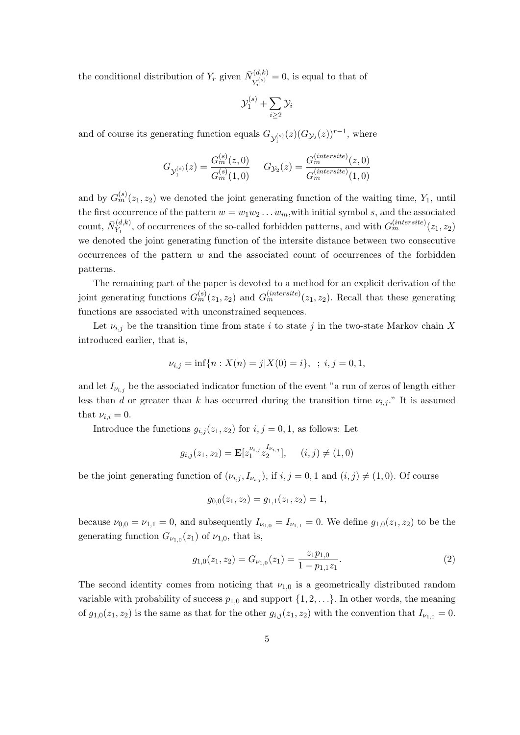the conditional distribution of  $Y_r$  given  $\bar{N}_{Y^{(s)}}^{(d,k)}$  $Y_r^{(a,\kappa)}=0$ , is equal to that of

$$
\mathcal{Y}_1^{(s)} + \sum_{i \geq 2} \mathcal{Y}_i
$$

and of course its generating function equals  $G_{\mathcal{Y}_1^{(s)}}(z)(G_{\mathcal{Y}_2}(z))^{r-1}$ , where

$$
G_{\mathcal{Y}_1^{(s)}}(z) = \frac{G_m^{(s)}(z,0)}{G_m^{(s)}(1,0)} \quad \ G_{\mathcal{Y}_2}(z) = \frac{G_m^{(intersecte)}(z,0)}{G_m^{(intersecte)}(1,0)}
$$

and by  $G_m^{(s)}(z_1, z_2)$  we denoted the joint generating function of the waiting time,  $Y_1$ , until the first occurrence of the pattern  $w = w_1w_2 \ldots w_m$ , with initial symbol s, and the associated count,  $\bar{N}_{Y_1}^{(d,k)}$  $Y_1^{(d,k)}$ , of occurrences of the so-called forbidden patterns, and with  $G_m^{(intersite)}(z_1, z_2)$ we denoted the joint generating function of the intersite distance between two consecutive occurrences of the pattern  $w$  and the associated count of occurrences of the forbidden patterns.

The remaining part of the paper is devoted to a method for an explicit derivation of the joint generating functions  $G_m^{(s)}(z_1, z_2)$  and  $G_m^{(intersect)}(z_1, z_2)$ . Recall that these generating functions are associated with unconstrained sequences.

Let  $\nu_{i,j}$  be the transition time from state i to state j in the two-state Markov chain X introduced earlier, that is,

$$
\nu_{i,j} = \inf\{n : X(n) = j | X(0) = i\}, \ \ ; \ i, j = 0, 1,
$$

and let  $I_{\nu_{i,j}}$  be the associated indicator function of the event "a run of zeros of length either less than d or greater than k has occurred during the transition time  $\nu_{i,j}$ ." It is assumed that  $\nu_{i,i} = 0$ .

Introduce the functions  $g_{i,j}(z_1, z_2)$  for  $i, j = 0, 1$ , as follows: Let

$$
g_{i,j}(z_1, z_2) = \mathbf{E}[z_1^{\nu_{i,j}} z_2^{I_{\nu_{i,j}}}], \quad (i,j) \neq (1,0)
$$

be the joint generating function of  $(\nu_{i,j}, I_{\nu_{i,j}})$ , if  $i, j = 0, 1$  and  $(i, j) \neq (1, 0)$ . Of course

$$
g_{0,0}(z_1, z_2) = g_{1,1}(z_1, z_2) = 1,
$$

because  $\nu_{0,0} = \nu_{1,1} = 0$ , and subsequently  $I_{\nu_{0,0}} = I_{\nu_{1,1}} = 0$ . We define  $g_{1,0}(z_1, z_2)$  to be the generating function  $G_{\nu_{1,0}}(z_1)$  of  $\nu_{1,0}$ , that is,

$$
g_{1,0}(z_1, z_2) = G_{\nu_{1,0}}(z_1) = \frac{z_1 p_{1,0}}{1 - p_{1,1} z_1}.
$$
 (2)

The second identity comes from noticing that  $\nu_{1,0}$  is a geometrically distributed random variable with probability of success  $p_{1,0}$  and support  $\{1, 2, ...\}$ . In other words, the meaning of  $g_{1,0}(z_1, z_2)$  is the same as that for the other  $g_{i,j}(z_1, z_2)$  with the convention that  $I_{\nu_{1,0}} = 0$ .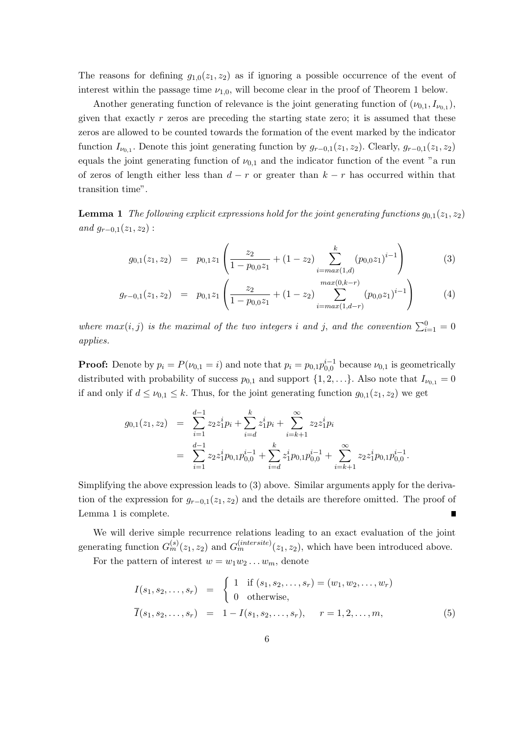The reasons for defining  $g_{1,0}(z_1, z_2)$  as if ignoring a possible occurrence of the event of interest within the passage time  $\nu_{1,0}$ , will become clear in the proof of Theorem 1 below.

Another generating function of relevance is the joint generating function of  $(\nu_{0,1}, I_{\nu_{0,1}})$ , given that exactly  $r$  zeros are preceding the starting state zero; it is assumed that these zeros are allowed to be counted towards the formation of the event marked by the indicator function  $I_{\nu_{0,1}}$ . Denote this joint generating function by  $g_{r-0,1}(z_1, z_2)$ . Clearly,  $g_{r-0,1}(z_1, z_2)$ equals the joint generating function of  $\nu_{0,1}$  and the indicator function of the event "a run of zeros of length either less than  $d - r$  or greater than  $k - r$  has occurred within that transition time".

**Lemma 1** The following explicit expressions hold for the joint generating functions  $g_{0,1}(z_1, z_2)$ and  $g_{r-0,1}(z_1, z_2)$ :

$$
g_{0,1}(z_1, z_2) = p_{0,1}z_1 \left( \frac{z_2}{1 - p_{0,0}z_1} + (1 - z_2) \sum_{i = max(1,d)}^{k} (p_{0,0}z_1)^{i-1} \right)
$$
(3)

$$
g_{r-0,1}(z_1, z_2) = p_{0,1}z_1 \left( \frac{z_2}{1 - p_{0,0}z_1} + (1 - z_2) \sum_{i = max(1, d-r)}^{max(0, k-r)} (p_{0,0}z_1)^{i-1} \right)
$$
(4)

where  $max(i, j)$  is the maximal of the two integers i and j, and the convention  $\sum_{i=1}^{0} = 0$ applies.

**Proof:** Denote by  $p_i = P(\nu_{0,1} = i)$  and note that  $p_i = p_{0,1}p_{0,0}^{i-1}$  because  $\nu_{0,1}$  is geometrically distributed with probability of success  $p_{0,1}$  and support  $\{1, 2, ...\}$ . Also note that  $I_{\nu_{0,1}} = 0$ if and only if  $d \leq \nu_{0,1} \leq k$ . Thus, for the joint generating function  $g_{0,1}(z_1, z_2)$  we get

$$
g_{0,1}(z_1, z_2) = \sum_{i=1}^{d-1} z_2 z_1^i p_i + \sum_{i=d}^k z_1^i p_i + \sum_{i=k+1}^{\infty} z_2 z_1^i p_i
$$
  
= 
$$
\sum_{i=1}^{d-1} z_2 z_1^i p_{0,1} p_{0,0}^{i-1} + \sum_{i=d}^k z_1^i p_{0,1} p_{0,0}^{i-1} + \sum_{i=k+1}^{\infty} z_2 z_1^i p_{0,1} p_{0,0}^{i-1}.
$$

Simplifying the above expression leads to (3) above. Similar arguments apply for the derivation of the expression for  $g_{r-0,1}(z_1, z_2)$  and the details are therefore omitted. The proof of Lemma 1 is complete. Ē

We will derive simple recurrence relations leading to an exact evaluation of the joint generating function  $G_m^{(s)}(z_1, z_2)$  and  $G_m^{(intersect)}(z_1, z_2)$ , which have been introduced above.

For the pattern of interest  $w = w_1w_2 \ldots w_m$ , denote

$$
I(s_1, s_2, \dots, s_r) = \begin{cases} 1 & \text{if } (s_1, s_2, \dots, s_r) = (w_1, w_2, \dots, w_r) \\ 0 & \text{otherwise,} \end{cases}
$$
  

$$
\overline{I}(s_1, s_2, \dots, s_r) = 1 - I(s_1, s_2, \dots, s_r), \quad r = 1, 2, \dots, m,
$$
 (5)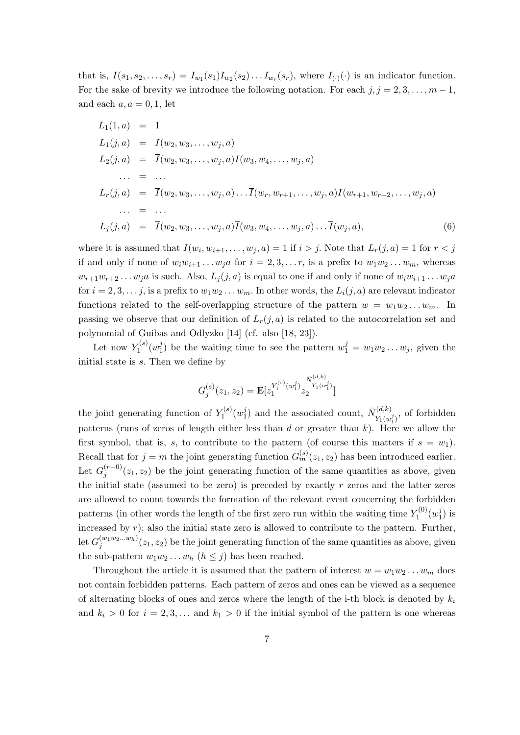that is,  $I(s_1, s_2, \ldots, s_r) = I_{w_1}(s_1)I_{w_2}(s_2) \ldots I_{w_r}(s_r)$ , where  $I_{(\cdot)}(\cdot)$  is an indicator function. For the sake of brevity we introduce the following notation. For each  $j, j = 2, 3, \ldots, m - 1$ , and each  $a, a = 0, 1$ , let

$$
L_1(1, a) = 1
$$
  
\n
$$
L_1(j, a) = I(w_2, w_3, ..., w_j, a)
$$
  
\n
$$
L_2(j, a) = \overline{I}(w_2, w_3, ..., w_j, a)I(w_3, w_4, ..., w_j, a)
$$
  
\n
$$
... = ...
$$
  
\n
$$
L_r(j, a) = \overline{I}(w_2, w_3, ..., w_j, a) ... \overline{I}(w_r, w_{r+1}, ..., w_j, a)I(w_{r+1}, w_{r+2}, ..., w_j, a)
$$
  
\n
$$
... = ...
$$
  
\n
$$
L_j(j, a) = \overline{I}(w_2, w_3, ..., w_j, a) \overline{I}(w_3, w_4, ..., w_j, a) ... \overline{I}(w_j, a),
$$
  
\n(6)

where it is assumed that  $I(w_i, w_{i+1}, \ldots, w_j, a) = 1$  if  $i > j$ . Note that  $L_r(j, a) = 1$  for  $r < j$ if and only if none of  $w_iw_{i+1} \ldots w_ja$  for  $i = 2, 3, \ldots r$ , is a prefix to  $w_1w_2 \ldots w_m$ , whereas  $w_{r+1}w_{r+2} \ldots w_j a$  is such. Also,  $L_j(j,a)$  is equal to one if and only if none of  $w_iw_{i+1} \ldots w_j a$ for  $i = 2, 3, \ldots, j$ , is a prefix to  $w_1w_2 \ldots w_m$ . In other words, the  $L_i(j, a)$  are relevant indicator functions related to the self-overlapping structure of the pattern  $w = w_1w_2...w_m$ . In passing we observe that our definition of  $L_r(j, a)$  is related to the autocorrelation set and polynomial of Guibas and Odlyzko [14] (cf. also [18, 23]).

Let now  $Y_1^{(s)}$  $\tilde{\gamma}_1^{(s)}(w_1^j)$  $j_1$ ) be the waiting time to see the pattern  $w_1^j = w_1 w_2 \dots w_j$ , given the initial state is s. Then we define by

$$
G_j^{(s)}(z_1, z_2) = \mathbf{E}[z_1^{Y_1^{(s)}(w_1^j)} z_2^{\overline{N}_{Y_1(w_1^j)}(w_1^j)}]
$$

the joint generating function of  $Y_1^{(s)}$  $\tilde{\gamma}_1^{(s)}(w_1^j)$  $\bar{N}_{\tilde{Y}_1(m)}^{(d,k)}$  and the associated count,  $\bar{N}_{\tilde{Y}_1(m)}^{(d,k)}$  $Y_1(w_1^j)$ , of forbidden patterns (runs of zeros of length either less than  $d$  or greater than  $k$ ). Here we allow the first symbol, that is, s, to contribute to the pattern (of course this matters if  $s = w_1$ ). Recall that for  $j = m$  the joint generating function  $G_m^{(s)}(z_1, z_2)$  has been introduced earlier. Let  $G_i^{(r-0)}$  $j_j^{(r=0)}(z_1, z_2)$  be the joint generating function of the same quantities as above, given the initial state (assumed to be zero) is preceded by exactly  $r$  zeros and the latter zeros are allowed to count towards the formation of the relevant event concerning the forbidden patterns (in other words the length of the first zero run within the waiting time  $Y_1^{(0)}$  $\tilde{\gamma}_1^{(0)}(w_1^j)$  $v_1^j$ ) is increased by  $r$ ); also the initial state zero is allowed to contribute to the pattern. Further,  $\det G_j^{(w_1w_2...w_h)}(z_1,z_2)$  be the joint generating function of the same quantities as above, given the sub-pattern  $w_1w_2 \ldots w_h$   $(h \leq j)$  has been reached.

Throughout the article it is assumed that the pattern of interest  $w = w_1w_2 \ldots w_m$  does not contain forbidden patterns. Each pattern of zeros and ones can be viewed as a sequence of alternating blocks of ones and zeros where the length of the i-th block is denoted by  $k_i$ and  $k_i > 0$  for  $i = 2, 3, \ldots$  and  $k_1 > 0$  if the initial symbol of the pattern is one whereas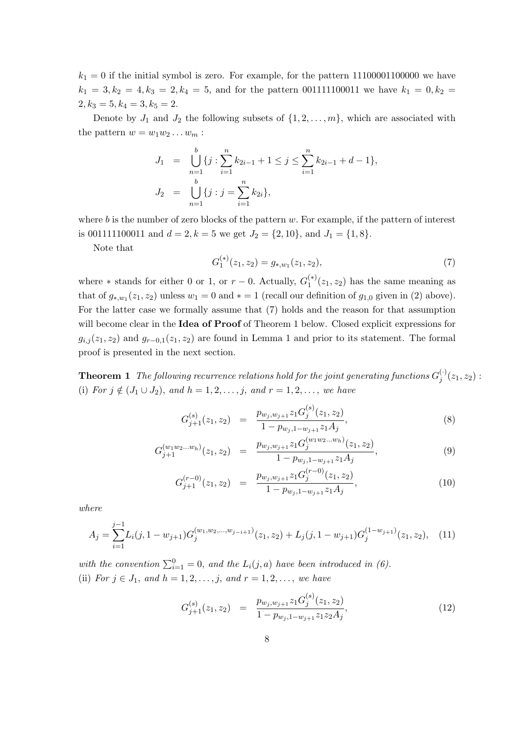$k_1 = 0$  if the initial symbol is zero. For example, for the pattern 11100001100000 we have  $k_1 = 3, k_2 = 4, k_3 = 2, k_4 = 5$ , and for the pattern 001111100011 we have  $k_1 = 0, k_2 = 1$  $2, k_3 = 5, k_4 = 3, k_5 = 2.$ 

Denote by  $J_1$  and  $J_2$  the following subsets of  $\{1, 2, \ldots, m\}$ , which are associated with the pattern  $w = w_1w_2 \ldots w_m$ :

$$
J_1 = \bigcup_{n=1}^b \{j : \sum_{i=1}^n k_{2i-1} + 1 \le j \le \sum_{i=1}^n k_{2i-1} + d - 1\},
$$
  

$$
J_2 = \bigcup_{n=1}^b \{j : j = \sum_{i=1}^n k_{2i}\},
$$

where  $b$  is the number of zero blocks of the pattern  $w$ . For example, if the pattern of interest is 001111100011 and  $d = 2, k = 5$  we get  $J_2 = \{2, 10\}$ , and  $J_1 = \{1, 8\}$ .

Note that

$$
G_1^{(*)}(z_1, z_2) = g_{*,w_1}(z_1, z_2),
$$
\n<sup>(7)</sup>

where  $*$  stands for either 0 or 1, or  $r-0$ . Actually,  $G_1^{(*)}$  $1^{(*)}(z_1, z_2)$  has the same meaning as that of  $g_{*,w_1}(z_1, z_2)$  unless  $w_1 = 0$  and  $* = 1$  (recall our definition of  $g_{1,0}$  given in (2) above). For the latter case we formally assume that (7) holds and the reason for that assumption will become clear in the **Idea of Proof** of Theorem 1 below. Closed explicit expressions for  $g_{i,j}(z_1, z_2)$  and  $g_{r-0,1}(z_1, z_2)$  are found in Lemma 1 and prior to its statement. The formal proof is presented in the next section.

**Theorem 1** The following recurrence relations hold for the joint generating functions  $G_i^{(\cdot)}$  $j^{(')}(z_{1},z_{2}):$ (i) For  $j \notin (J_1 \cup J_2)$ , and  $h = 1, 2, ..., j$ , and  $r = 1, 2, ...,$  we have

$$
G_{j+1}^{(s)}(z_1, z_2) = \frac{p_{w_j, w_{j+1}} z_1 G_j^{(s)}(z_1, z_2)}{1 - p_{w_j, 1 - w_{j+1}} z_1 A_j},
$$
\n(8)

$$
G_{j+1}^{(w_1w_2...w_h)}(z_1, z_2) = \frac{p_{w_j, w_{j+1}} z_1 G_j^{(w_1w_2...w_h)}(z_1, z_2)}{1 - p_{w_j, 1 - w_{j+1}} z_1 A_j},
$$
\n(9)

$$
G_{j+1}^{(r-0)}(z_1, z_2) = \frac{p_{w_j, w_{j+1}} z_1 G_j^{(r-0)}(z_1, z_2)}{1 - p_{w_j, 1 - w_{j+1}} z_1 A_j},
$$
\n(10)

where

$$
A_j = \sum_{i=1}^{j-1} L_i(j, 1 - w_{j+1}) G_j^{(w_1, w_2, \dots, w_{j-i+1})}(z_1, z_2) + L_j(j, 1 - w_{j+1}) G_j^{(1 - w_{j+1})}(z_1, z_2), \quad (11)
$$

with the convention  $\sum_{i=1}^{0} = 0$ , and the  $L_i(j, a)$  have been introduced in (6). (ii) For  $j \in J_1$ , and  $h = 1, 2, ..., j$ , and  $r = 1, 2, ...,$  we have

$$
G_{j+1}^{(s)}(z_1, z_2) = \frac{p_{w_j, w_{j+1}} z_1 G_j^{(s)}(z_1, z_2)}{1 - p_{w_j, 1 - w_{j+1}} z_1 z_2 A_j},
$$
\n(12)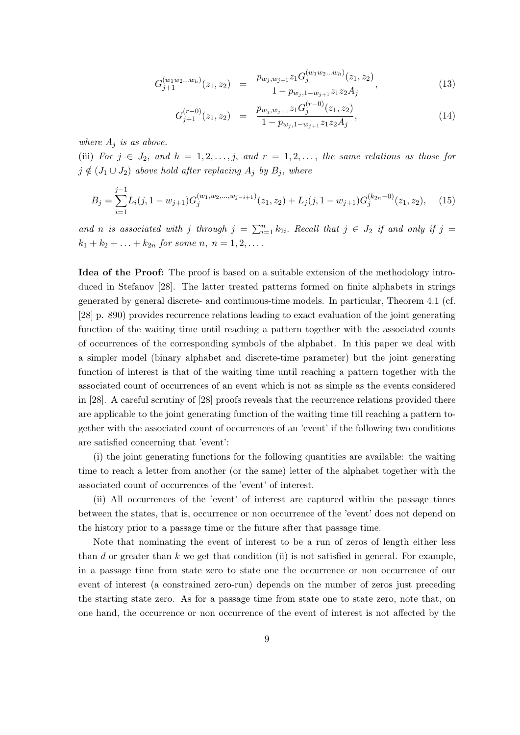$$
G_{j+1}^{(w_1w_2...w_h)}(z_1, z_2) = \frac{p_{w_j, w_{j+1}} z_1 G_j^{(w_1w_2...w_h)}(z_1, z_2)}{1 - p_{w_j, 1 - w_{j+1}} z_1 z_2 A_j},
$$
\n(13)

$$
G_{j+1}^{(r-0)}(z_1, z_2) = \frac{p_{w_j, w_{j+1}} z_1 G_j^{(r-0)}(z_1, z_2)}{1 - p_{w_j, 1 - w_{j+1}} z_1 z_2 A_j},
$$
\n(14)

where  $A_i$  is as above.

(iii) For  $j \in J_2$ , and  $h = 1, 2, \ldots, j$ , and  $r = 1, 2, \ldots$ , the same relations as those for  $j \notin (J_1 \cup J_2)$  above hold after replacing  $A_j$  by  $B_j$ , where

$$
B_j = \sum_{i=1}^{j-1} L_i(j, 1 - w_{j+1}) G_j^{(w_1, w_2, \dots, w_{j-i+1})}(z_1, z_2) + L_j(j, 1 - w_{j+1}) G_j^{(k_{2n}-0)}(z_1, z_2), \quad (15)
$$

and n is associated with j through  $j = \sum_{i=1}^{n} k_{2i}$ . Recall that  $j \in J_2$  if and only if  $j =$  $k_1 + k_2 + \ldots + k_{2n}$  for some n,  $n = 1, 2, \ldots$ .

Idea of the Proof: The proof is based on a suitable extension of the methodology introduced in Stefanov [28]. The latter treated patterns formed on finite alphabets in strings generated by general discrete- and continuous-time models. In particular, Theorem 4.1 (cf. [28] p. 890) provides recurrence relations leading to exact evaluation of the joint generating function of the waiting time until reaching a pattern together with the associated counts of occurrences of the corresponding symbols of the alphabet. In this paper we deal with a simpler model (binary alphabet and discrete-time parameter) but the joint generating function of interest is that of the waiting time until reaching a pattern together with the associated count of occurrences of an event which is not as simple as the events considered in [28]. A careful scrutiny of [28] proofs reveals that the recurrence relations provided there are applicable to the joint generating function of the waiting time till reaching a pattern together with the associated count of occurrences of an 'event' if the following two conditions are satisfied concerning that 'event':

(i) the joint generating functions for the following quantities are available: the waiting time to reach a letter from another (or the same) letter of the alphabet together with the associated count of occurrences of the 'event' of interest.

(ii) All occurrences of the 'event' of interest are captured within the passage times between the states, that is, occurrence or non occurrence of the 'event' does not depend on the history prior to a passage time or the future after that passage time.

Note that nominating the event of interest to be a run of zeros of length either less than d or greater than  $k$  we get that condition (ii) is not satisfied in general. For example, in a passage time from state zero to state one the occurrence or non occurrence of our event of interest (a constrained zero-run) depends on the number of zeros just preceding the starting state zero. As for a passage time from state one to state zero, note that, on one hand, the occurrence or non occurrence of the event of interest is not affected by the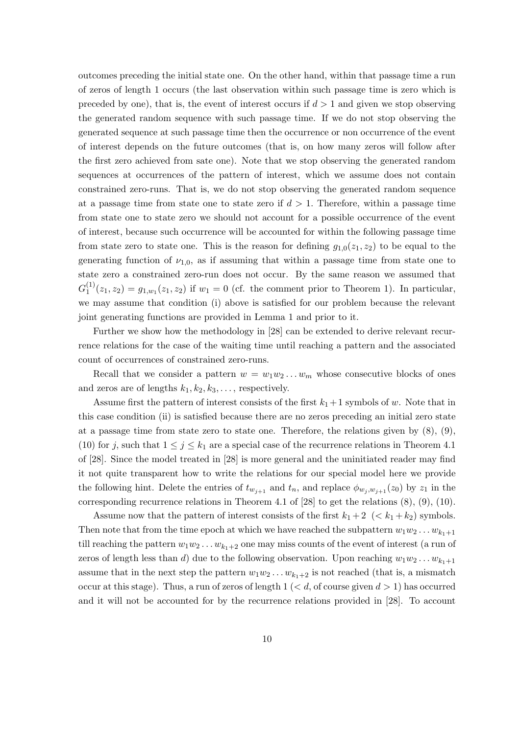outcomes preceding the initial state one. On the other hand, within that passage time a run of zeros of length 1 occurs (the last observation within such passage time is zero which is preceded by one), that is, the event of interest occurs if  $d > 1$  and given we stop observing the generated random sequence with such passage time. If we do not stop observing the generated sequence at such passage time then the occurrence or non occurrence of the event of interest depends on the future outcomes (that is, on how many zeros will follow after the first zero achieved from sate one). Note that we stop observing the generated random sequences at occurrences of the pattern of interest, which we assume does not contain constrained zero-runs. That is, we do not stop observing the generated random sequence at a passage time from state one to state zero if  $d > 1$ . Therefore, within a passage time from state one to state zero we should not account for a possible occurrence of the event of interest, because such occurrence will be accounted for within the following passage time from state zero to state one. This is the reason for defining  $q_{1,0}(z_1, z_2)$  to be equal to the generating function of  $\nu_{1,0}$ , as if assuming that within a passage time from state one to state zero a constrained zero-run does not occur. By the same reason we assumed that  $G_1^{(1)}$  $\mathcal{L}_1^{(1)}(z_1, z_2) = g_{1,w_1}(z_1, z_2)$  if  $w_1 = 0$  (cf. the comment prior to Theorem 1). In particular, we may assume that condition (i) above is satisfied for our problem because the relevant joint generating functions are provided in Lemma 1 and prior to it.

Further we show how the methodology in [28] can be extended to derive relevant recurrence relations for the case of the waiting time until reaching a pattern and the associated count of occurrences of constrained zero-runs.

Recall that we consider a pattern  $w = w_1w_2...w_m$  whose consecutive blocks of ones and zeros are of lengths  $k_1, k_2, k_3, \ldots$ , respectively.

Assume first the pattern of interest consists of the first  $k_1+1$  symbols of w. Note that in this case condition (ii) is satisfied because there are no zeros preceding an initial zero state at a passage time from state zero to state one. Therefore, the relations given by  $(8)$ ,  $(9)$ , (10) for j, such that  $1 \leq j \leq k_1$  are a special case of the recurrence relations in Theorem 4.1 of [28]. Since the model treated in [28] is more general and the uninitiated reader may find it not quite transparent how to write the relations for our special model here we provide the following hint. Delete the entries of  $t_{w_{i+1}}$  and  $t_n$ , and replace  $\phi_{w_i,w_{i+1}}(z_0)$  by  $z_1$  in the corresponding recurrence relations in Theorem 4.1 of [28] to get the relations (8), (9), (10).

Assume now that the pattern of interest consists of the first  $k_1 + 2 \, \langle \, \langle k_1 + k_2 \rangle$  symbols. Then note that from the time epoch at which we have reached the subpattern  $w_1w_2 \ldots w_{k_1+1}$ till reaching the pattern  $w_1w_2 \ldots w_{k_1+2}$  one may miss counts of the event of interest (a run of zeros of length less than d) due to the following observation. Upon reaching  $w_1w_2 \ldots w_{k_1+1}$ assume that in the next step the pattern  $w_1w_2 \ldots w_{k_1+2}$  is not reached (that is, a mismatch occur at this stage). Thus, a run of zeros of length  $1 \ (< d$ , of course given  $d > 1$ ) has occurred and it will not be accounted for by the recurrence relations provided in [28]. To account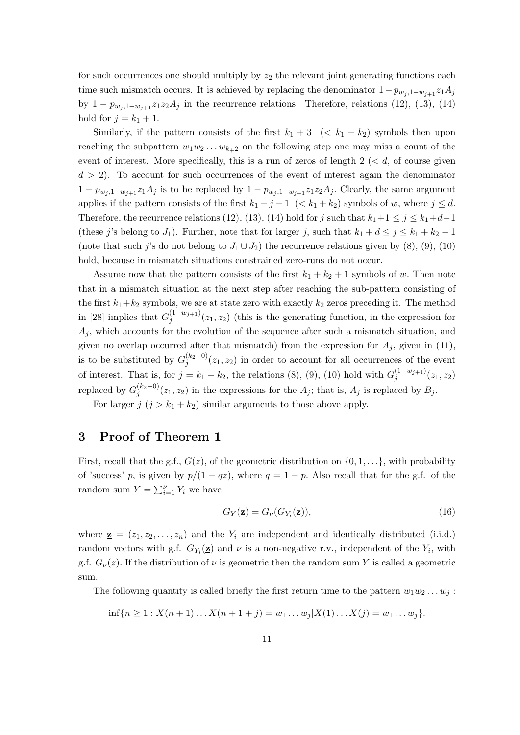for such occurrences one should multiply by  $z_2$  the relevant joint generating functions each time such mismatch occurs. It is achieved by replacing the denominator  $1-p_{w_i,1-w_{i+1}}z_1A_j$ by  $1 - p_{w_j,1-w_{j+1}} z_1 z_2 A_j$  in the recurrence relations. Therefore, relations (12), (13), (14) hold for  $j = k_1 + 1$ .

Similarly, if the pattern consists of the first  $k_1 + 3 \leq (k_1 + k_2)$  symbols then upon reaching the subpattern  $w_1w_2 \ldots w_{k+2}$  on the following step one may miss a count of the event of interest. More specifically, this is a run of zeros of length  $2 \le d$ , of course given  $d > 2$ ). To account for such occurrences of the event of interest again the denominator  $1 - p_{w_j,1-w_{j+1}} z_1 A_j$  is to be replaced by  $1 - p_{w_j,1-w_{j+1}} z_1 z_2 A_j$ . Clearly, the same argument applies if the pattern consists of the first  $k_1 + j - 1 \leq k_1 + k_2$  symbols of w, where  $j \leq d$ . Therefore, the recurrence relations (12), (13), (14) hold for j such that  $k_1+1 \leq j \leq k_1+d-1$ (these j's belong to J<sub>1</sub>). Further, note that for larger j, such that  $k_1 + d \leq j \leq k_1 + k_2 - 1$ (note that such j's do not belong to  $J_1 \cup J_2$ ) the recurrence relations given by (8), (9), (10) hold, because in mismatch situations constrained zero-runs do not occur.

Assume now that the pattern consists of the first  $k_1 + k_2 + 1$  symbols of w. Then note that in a mismatch situation at the next step after reaching the sub-pattern consisting of the first  $k_1+k_2$  symbols, we are at state zero with exactly  $k_2$  zeros preceding it. The method in [28] implies that  $G_i^{(1-w_{j+1})}$  $j_j^{(1-w_{j+1})}(z_1, z_2)$  (this is the generating function, in the expression for  $A_i$ , which accounts for the evolution of the sequence after such a mismatch situation, and given no overlap occurred after that mismatch) from the expression for  $A_i$ , given in (11), is to be substituted by  $G_i^{(k_2-0)}$  $j_j^{(k_2=0)}(z_1, z_2)$  in order to account for all occurrences of the event of interest. That is, for  $j = k_1 + k_2$ , the relations (8), (9), (10) hold with  $G_j^{(1-w_{j+1})}$  $\binom{(1-w_j+1)}{j}(z_1,z_2)$ replaced by  $G_i^{(k_2-0)}$  $j_j^{(k_2=0)}(z_1, z_2)$  in the expressions for the  $A_j$ ; that is,  $A_j$  is replaced by  $B_j$ .

For larger  $j$   $(j > k_1 + k_2)$  similar arguments to those above apply.

## 3 Proof of Theorem 1

First, recall that the g.f.,  $G(z)$ , of the geometric distribution on  $\{0, 1, \ldots\}$ , with probability of 'success' p, is given by  $p/(1-qz)$ , where  $q=1-p$ . Also recall that for the g.f. of the random sum  $Y = \sum_{i=1}^{V} Y_i$  we have

$$
G_Y(\mathbf{z}) = G_\nu(G_{Y_i}(\mathbf{z})),\tag{16}
$$

where  $\underline{\mathbf{z}} = (z_1, z_2, \dots, z_n)$  and the  $Y_i$  are independent and identically distributed (i.i.d.) random vectors with g.f.  $G_{Y_i}(\mathbf{z})$  and  $\nu$  is a non-negative r.v., independent of the  $Y_i$ , with g.f.  $G_{\nu}(z)$ . If the distribution of  $\nu$  is geometric then the random sum Y is called a geometric sum.

The following quantity is called briefly the first return time to the pattern  $w_1w_2 \ldots w_j$ :

$$
\inf\{n \ge 1 : X(n+1)\dots X(n+1+j) = w_1\dots w_j | X(1)\dots X(j) = w_1\dots w_j\}.
$$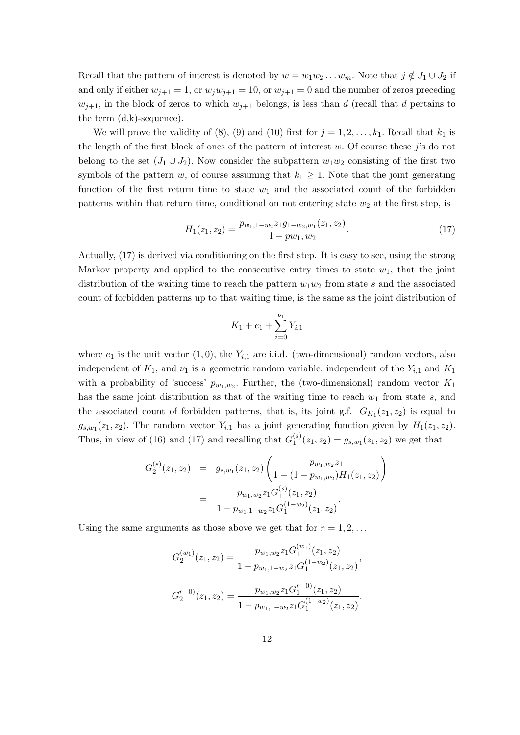Recall that the pattern of interest is denoted by  $w = w_1w_2 \ldots w_m$ . Note that  $j \notin J_1 \cup J_2$  if and only if either  $w_{j+1} = 1$ , or  $w_j w_{j+1} = 10$ , or  $w_{j+1} = 0$  and the number of zeros preceding  $w_{j+1}$ , in the block of zeros to which  $w_{j+1}$  belongs, is less than d (recall that d pertains to the term  $(d,k)$ -sequence).

We will prove the validity of (8), (9) and (10) first for  $j = 1, 2, \ldots, k_1$ . Recall that  $k_1$  is the length of the first block of ones of the pattern of interest w. Of course these  $j$ 's do not belong to the set  $(J_1 \cup J_2)$ . Now consider the subpattern  $w_1w_2$  consisting of the first two symbols of the pattern w, of course assuming that  $k_1 \geq 1$ . Note that the joint generating function of the first return time to state  $w_1$  and the associated count of the forbidden patterns within that return time, conditional on not entering state  $w_2$  at the first step, is

$$
H_1(z_1, z_2) = \frac{p_{w_1, 1 - w_2} z_1 g_1_{-w_2, w_1}(z_1, z_2)}{1 - p w_1, w_2}.
$$
\n
$$
(17)
$$

Actually, (17) is derived via conditioning on the first step. It is easy to see, using the strong Markov property and applied to the consecutive entry times to state  $w_1$ , that the joint distribution of the waiting time to reach the pattern  $w_1w_2$  from state s and the associated count of forbidden patterns up to that waiting time, is the same as the joint distribution of

$$
K_1 + e_1 + \sum_{i=0}^{\nu_1} Y_{i,1}
$$

where  $e_1$  is the unit vector  $(1, 0)$ , the  $Y_{i,1}$  are i.i.d. (two-dimensional) random vectors, also independent of  $K_1$ , and  $\nu_1$  is a geometric random variable, independent of the  $Y_{i,1}$  and  $K_1$ with a probability of 'success'  $p_{w_1,w_2}$ . Further, the (two-dimensional) random vector  $K_1$ has the same joint distribution as that of the waiting time to reach  $w_1$  from state s, and the associated count of forbidden patterns, that is, its joint g.f.  $G_{K_1}(z_1, z_2)$  is equal to  $g_{s,w_1}(z_1, z_2)$ . The random vector  $Y_{i,1}$  has a joint generating function given by  $H_1(z_1, z_2)$ . Thus, in view of (16) and (17) and recalling that  $G_1^{(s)}$  $j_1^{(s)}(z_1, z_2) = g_{s,w_1}(z_1, z_2)$  we get that

$$
G_2^{(s)}(z_1, z_2) = g_{s,w_1}(z_1, z_2) \left( \frac{p_{w_1,w_2} z_1}{1 - (1 - p_{w_1,w_2}) H_1(z_1, z_2)} \right)
$$
  
= 
$$
\frac{p_{w_1,w_2} z_1 G_1^{(s)}(z_1, z_2)}{1 - p_{w_1,1-w_2} z_1 G_1^{(1-w_2)}(z_1, z_2)}.
$$

Using the same arguments as those above we get that for  $r = 1, 2, \ldots$ 

$$
G_2^{(w_1)}(z_1, z_2) = \frac{p_{w_1, w_2} z_1 G_1^{(w_1)}(z_1, z_2)}{1 - p_{w_1, 1 - w_2} z_1 G_1^{(1 - w_2)}(z_1, z_2)},
$$
  

$$
G_2^{r-0)}(z_1, z_2) = \frac{p_{w_1, w_2} z_1 G_1^{r-0}(z_1, z_2)}{1 - p_{w_1, 1 - w_2} z_1 G_1^{(1 - w_2)}(z_1, z_2)}.
$$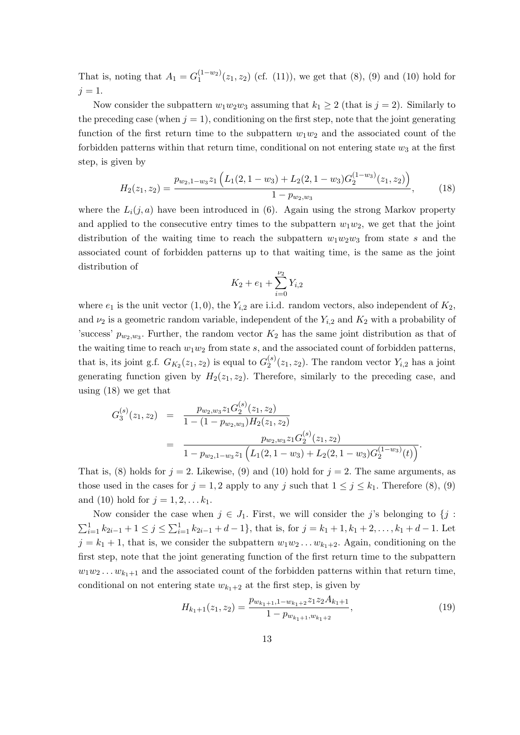That is, noting that  $A_1 = G_1^{(1-w_2)}$  $1^{(1-w_2)}(z_1, z_2)$  (cf. (11)), we get that (8), (9) and (10) hold for  $j = 1$ .

Now consider the subpattern  $w_1w_2w_3$  assuming that  $k_1 \geq 2$  (that is  $j = 2$ ). Similarly to the preceding case (when  $j = 1$ ), conditioning on the first step, note that the joint generating function of the first return time to the subpattern  $w_1w_2$  and the associated count of the forbidden patterns within that return time, conditional on not entering state  $w_3$  at the first step, is given by

$$
H_2(z_1, z_2) = \frac{p_{w_2, 1-w_3} z_1 \left( L_1(2, 1-w_3) + L_2(2, 1-w_3) G_2^{(1-w_3)}(z_1, z_2) \right)}{1 - p_{w_2, w_3}},
$$
(18)

where the  $L_i(j, a)$  have been introduced in (6). Again using the strong Markov property and applied to the consecutive entry times to the subpattern  $w_1w_2$ , we get that the joint distribution of the waiting time to reach the subpattern  $w_1w_2w_3$  from state s and the associated count of forbidden patterns up to that waiting time, is the same as the joint distribution of

$$
K_2 + e_1 + \sum_{i=0}^{\nu_2} Y_{i,2}
$$

where  $e_1$  is the unit vector  $(1, 0)$ , the  $Y_{i,2}$  are i.i.d. random vectors, also independent of  $K_2$ , and  $\nu_2$  is a geometric random variable, independent of the  $Y_{i,2}$  and  $K_2$  with a probability of 'success'  $p_{w_2,w_3}$ . Further, the random vector  $K_2$  has the same joint distribution as that of the waiting time to reach  $w_1w_2$  from state s, and the associated count of forbidden patterns, that is, its joint g.f.  $G_{K_2}(z_1, z_2)$  is equal to  $G_2^{(s)}$  $2^{(s)}(z_1, z_2)$ . The random vector  $Y_{i,2}$  has a joint generating function given by  $H_2(z_1, z_2)$ . Therefore, similarly to the preceding case, and using (18) we get that

$$
G_3^{(s)}(z_1, z_2) = \frac{p_{w_2, w_3} z_1 G_2^{(s)}(z_1, z_2)}{1 - (1 - p_{w_2, w_3}) H_2(z_1, z_2)}
$$
  
= 
$$
\frac{p_{w_2, w_3} z_1 G_2^{(s)}(z_1, z_2)}{1 - p_{w_2, 1 - w_3} z_1 \left(L_1(2, 1 - w_3) + L_2(2, 1 - w_3) G_2^{(1 - w_3)}(t)\right)}.
$$

That is, (8) holds for  $j = 2$ . Likewise, (9) and (10) hold for  $j = 2$ . The same arguments, as those used in the cases for  $j = 1, 2$  apply to any j such that  $1 \leq j \leq k_1$ . Therefore (8), (9) and (10) hold for  $j = 1, 2, ... k_1$ .

Now consider the case when  $j \in J_1$ . First, we will consider the j's belonging to  $\{j :$  $\sum_{i=1}^{1} k_{2i-1} + 1 \leq j \leq \sum_{i=1}^{1} k_{2i-1} + d - 1$ , that is, for  $j = k_1 + 1, k_1 + 2, \ldots, k_1 + d - 1$ . Let  $j = k_1 + 1$ , that is, we consider the subpattern  $w_1w_2 \ldots w_{k_1+2}$ . Again, conditioning on the first step, note that the joint generating function of the first return time to the subpattern  $w_1w_2 \ldots w_{k_1+1}$  and the associated count of the forbidden patterns within that return time, conditional on not entering state  $w_{k_1+2}$  at the first step, is given by

$$
H_{k_1+1}(z_1, z_2) = \frac{p_{w_{k_1+1}, 1-w_{k_1+2}} z_1 z_2 A_{k_1+1}}{1 - p_{w_{k_1+1}, w_{k_1+2}}},\tag{19}
$$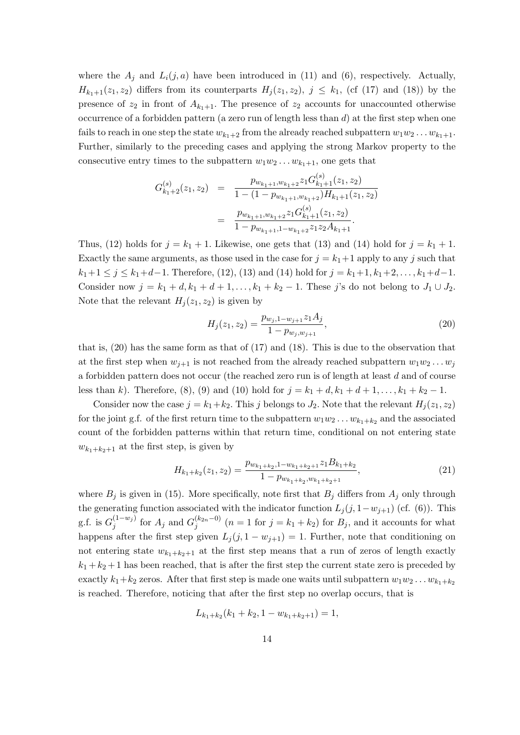where the  $A_j$  and  $L_i(j, a)$  have been introduced in (11) and (6), respectively. Actually,  $H_{k_1+1}(z_1, z_2)$  differs from its counterparts  $H_i(z_1, z_2), j \leq k_1$ , (cf (17) and (18)) by the presence of  $z_2$  in front of  $A_{k_1+1}$ . The presence of  $z_2$  accounts for unaccounted otherwise occurrence of a forbidden pattern (a zero run of length less than d) at the first step when one fails to reach in one step the state  $w_{k_1+2}$  from the already reached subpattern  $w_1w_2 \ldots w_{k_1+1}$ . Further, similarly to the preceding cases and applying the strong Markov property to the consecutive entry times to the subpattern  $w_1w_2 \ldots w_{k_1+1}$ , one gets that

$$
G_{k_1+2}^{(s)}(z_1, z_2) = \frac{p_{w_{k_1+1}, w_{k_1+2}} z_1 G_{k_1+1}^{(s)}(z_1, z_2)}{1 - (1 - p_{w_{k_1+1}, w_{k_1+2}}) H_{k_1+1}(z_1, z_2)}
$$
  

$$
= \frac{p_{w_{k_1+1}, w_{k_1+2}} z_1 G_{k_1+1}^{(s)}(z_1, z_2)}{1 - p_{w_{k_1+1}, 1 - w_{k_1+2}} z_1 z_2 A_{k_1+1}}.
$$

Thus, (12) holds for  $j = k_1 + 1$ . Likewise, one gets that (13) and (14) hold for  $j = k_1 + 1$ . Exactly the same arguments, as those used in the case for  $j = k_1 + 1$  apply to any j such that  $k_1+1 \leq j \leq k_1+d-1$ . Therefore, (12), (13) and (14) hold for  $j = k_1+1, k_1+2, \ldots, k_1+d-1$ . Consider now  $j = k_1 + d, k_1 + d + 1, ..., k_1 + k_2 - 1$ . These j's do not belong to  $J_1 \cup J_2$ . Note that the relevant  $H_i(z_1, z_2)$  is given by

$$
H_j(z_1, z_2) = \frac{p_{w_j, 1 - w_{j+1}} z_1 A_j}{1 - p_{w_j, w_{j+1}}},\tag{20}
$$

that is, (20) has the same form as that of (17) and (18). This is due to the observation that at the first step when  $w_{i+1}$  is not reached from the already reached subpattern  $w_1w_2 \ldots w_i$ a forbidden pattern does not occur (the reached zero run is of length at least d and of course less than k). Therefore, (8), (9) and (10) hold for  $j = k_1 + d, k_1 + d + 1, ..., k_1 + k_2 - 1$ .

Consider now the case  $j = k_1 + k_2$ . This j belongs to  $J_2$ . Note that the relevant  $H_j(z_1, z_2)$ for the joint g.f. of the first return time to the subpattern  $w_1w_2 \ldots w_{k_1+k_2}$  and the associated count of the forbidden patterns within that return time, conditional on not entering state  $w_{k_1+k_2+1}$  at the first step, is given by

$$
H_{k_1+k_2}(z_1, z_2) = \frac{p_{w_{k_1+k_2},1-w_{k_1+k_2+1}}z_1B_{k_1+k_2}}{1-p_{w_{k_1+k_2},w_{k_1+k_2+1}}},
$$
\n
$$
(21)
$$

where  $B_j$  is given in (15). More specifically, note first that  $B_j$  differs from  $A_j$  only through the generating function associated with the indicator function  $L_j(j, 1-w_{j+1})$  (cf. (6)). This g.f. is  $G_i^{(1-w_j)}$  $j^{(1-w_j)}$  for  $A_j$  and  $G_j^{(k_{2n}-0)}$  $j_j^{(k_{2n}-0)}$   $(n=1$  for  $j=k_1+k_2)$  for  $B_j$ , and it accounts for what happens after the first step given  $L_j(j, 1 - w_{j+1}) = 1$ . Further, note that conditioning on not entering state  $w_{k_1+k_2+1}$  at the first step means that a run of zeros of length exactly  $k_1 + k_2 + 1$  has been reached, that is after the first step the current state zero is preceded by exactly  $k_1+k_2$  zeros. After that first step is made one waits until subpattern  $w_1w_2 \ldots w_{k_1+k_2}$ is reached. Therefore, noticing that after the first step no overlap occurs, that is

$$
L_{k_1+k_2}(k_1+k_2, 1-w_{k_1+k_2+1})=1,
$$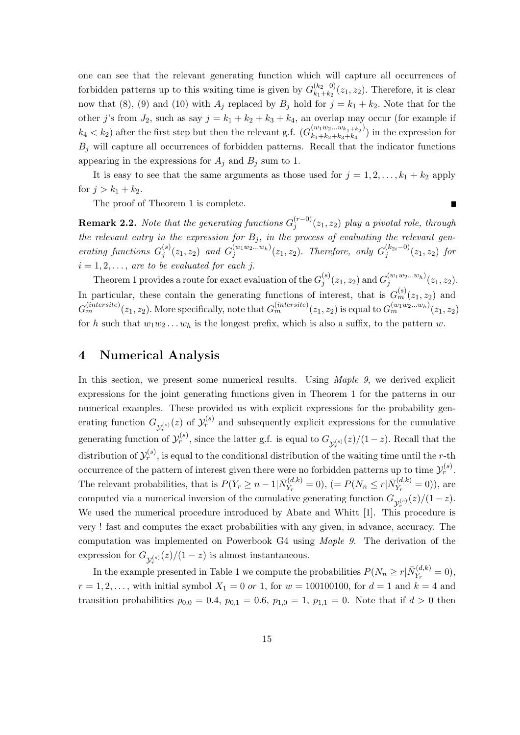one can see that the relevant generating function which will capture all occurrences of forbidden patterns up to this waiting time is given by  $G_{k_1+k_2}^{(k_2-0)}$  $\binom{(k_2-0)}{k_1+k_2}(z_1, z_2)$ . Therefore, it is clear now that (8), (9) and (10) with  $A_j$  replaced by  $B_j$  hold for  $j = k_1 + k_2$ . Note that for the other j's from  $J_2$ , such as say  $j = k_1 + k_2 + k_3 + k_4$ , an overlap may occur (for example if  $k_4 < k_2$ ) after the first step but then the relevant g.f.  $(G_{k_1+k_2+k_3+k_4}^{(w_1w_2...w_{k_1+k_2})})$  $(k_1+k_2+k_3+k_4)$  in the expression for  $B_j$  will capture all occurrences of forbidden patterns. Recall that the indicator functions appearing in the expressions for  $A_j$  and  $B_j$  sum to 1.

It is easy to see that the same arguments as those used for  $j = 1, 2, \ldots, k_1 + k_2$  apply for  $j > k_1 + k_2$ .

 $\blacksquare$ 

The proof of Theorem 1 is complete.

**Remark 2.2.** Note that the generating functions  $G_i^{(r-0)}$  $j_j^{(r=0)}(z_1, z_2)$  play a pivotal role, through the relevant entry in the expression for  $B_j$ , in the process of evaluating the relevant generating functions  $G_i^{(s)}$  $j^{(s)}(z_1, z_2)$  and  $G_j^{(w_1w_2...w_h)}(z_1, z_2)$ . Therefore, only  $G_j^{(k_{2i}-0)}$  $j^{(k_2i-0)}(z_1, z_2)$  for  $i = 1, 2, \ldots$ , are to be evaluated for each j.

Theorem 1 provides a route for exact evaluation of the  $G_i^{(s)}$  $j^{(s)}(z_1, z_2)$  and  $G_j^{(w_1w_2...w_h)}(z_1, z_2)$ . In particular, these contain the generating functions of interest, that is  $G_m^{(s)}(z_1, z_2)$  and  $G_m^{(intersect)}(z_1, z_2)$ . More specifically, note that  $G_m^{(intersect)}(z_1, z_2)$  is equal to  $G_m^{(w_1w_2...w_h)}(z_1, z_2)$ for h such that  $w_1w_2 \ldots w_h$  is the longest prefix, which is also a suffix, to the pattern w.

#### 4 Numerical Analysis

In this section, we present some numerical results. Using Maple 9, we derived explicit expressions for the joint generating functions given in Theorem 1 for the patterns in our numerical examples. These provided us with explicit expressions for the probability generating function  $G_{\mathcal{Y}_r^{(s)}}(z)$  of  $\mathcal{Y}_r^{(s)}$  and subsequently explicit expressions for the cumulative generating function of  $\mathcal{Y}_r^{(s)}$ , since the latter g.f. is equal to  $G_{\mathcal{Y}_r^{(s)}}(z)/(1-z)$ . Recall that the distribution of  $\mathcal{Y}_r^{(s)}$ , is equal to the conditional distribution of the waiting time until the r-th occurrence of the pattern of interest given there were no forbidden patterns up to time  $\mathcal{Y}_r^{(s)}$ . The relevant probabilities, that is  $P(Y_r \geq n-1 | \bar{N}_{Y_r}^{(d,k)})$  $Y_{Y_r}^{(d,k)} = 0$ ),  $(= P(N_n \leq r | \bar{N}_{Y_r}^{(d,k)}))$  $(Y_{Y_r}^{(u,\kappa)}=0)),$  are computed via a numerical inversion of the cumulative generating function  $G_{\mathcal{Y}_r^{(s)}}(z)/(1-z)$ . We used the numerical procedure introduced by Abate and Whitt [1]. This procedure is very ! fast and computes the exact probabilities with any given, in advance, accuracy. The computation was implemented on Powerbook G4 using Maple 9. The derivation of the expression for  $G_{\mathcal{Y}_r^{(s)}}(z)/(1-z)$  is almost instantaneous.

In the example presented in Table 1 we compute the probabilities  $P(N_n \ge r | \bar{N}_{Y_n}^{(d,k)})$  $Y_r^{(a,\kappa)} = 0,$  $r = 1, 2, ...,$  with initial symbol  $X_1 = 0$  or 1, for  $w = 100100100$ , for  $d = 1$  and  $k = 4$  and transition probabilities  $p_{0,0} = 0.4$ ,  $p_{0,1} = 0.6$ ,  $p_{1,0} = 1$ ,  $p_{1,1} = 0$ . Note that if  $d > 0$  then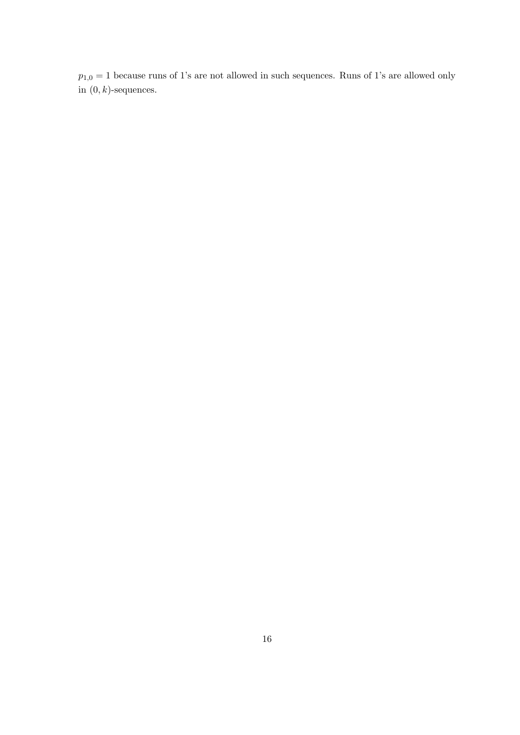$p_{1,0} = 1$  because runs of 1's are not allowed in such sequences. Runs of 1's are allowed only in  $(0, k)$ -sequences.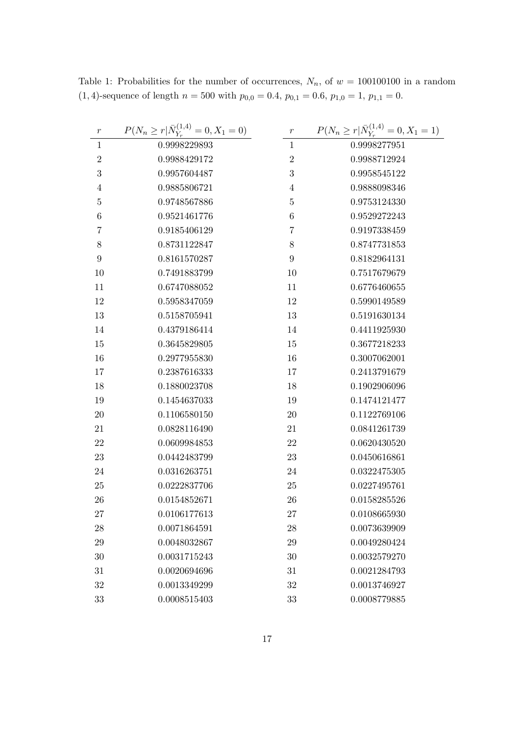| $\,r$          | $P(N_n \ge r   \bar{N}_{Y_r}^{(1,4)} = 0, X_1 = 0)$ | $\,r\,$        | $P(N_n \ge r   \bar{N}_{Y_r}^{(1,4)} = 0, X_1 = 1)$ |
|----------------|-----------------------------------------------------|----------------|-----------------------------------------------------|
| $\mathbf{1}$   | 0.9998229893                                        | $\mathbf{1}$   | 0.9998277951                                        |
| $\overline{2}$ | 0.9988429172                                        | $\sqrt{2}$     | 0.9988712924                                        |
| 3              | 0.9957604487                                        | 3              | 0.9958545122                                        |
| 4              | 0.9885806721                                        | 4              | 0.9888098346                                        |
| $\overline{5}$ | 0.9748567886                                        | $\overline{5}$ | 0.9753124330                                        |
| 6              | 0.9521461776                                        | 6              | 0.9529272243                                        |
| 7              | 0.9185406129                                        | 7              | 0.9197338459                                        |
| 8              | 0.8731122847                                        | 8              | 0.8747731853                                        |
| 9              | 0.8161570287                                        | 9              | 0.8182964131                                        |
| 10             | 0.7491883799                                        | 10             | 0.7517679679                                        |
| 11             | 0.6747088052                                        | 11             | 0.6776460655                                        |
| 12             | 0.5958347059                                        | 12             | 0.5990149589                                        |
| 13             | 0.5158705941                                        | 13             | 0.5191630134                                        |
| 14             | 0.4379186414                                        | 14             | 0.4411925930                                        |
| 15             | 0.3645829805                                        | 15             | 0.3677218233                                        |
| 16             | 0.2977955830                                        | 16             | 0.3007062001                                        |
| 17             | 0.2387616333                                        | 17             | 0.2413791679                                        |
| 18             | 0.1880023708                                        | 18             | 0.1902906096                                        |
| 19             | 0.1454637033                                        | 19             | 0.1474121477                                        |
| 20             | 0.1106580150                                        | 20             | 0.1122769106                                        |
| 21             | 0.0828116490                                        | 21             | 0.0841261739                                        |
| 22             | 0.0609984853                                        | 22             | 0.0620430520                                        |
| 23             | 0.0442483799                                        | 23             | 0.0450616861                                        |
| 24             | 0.0316263751                                        | 24             | 0.0322475305                                        |
| 25             | 0.0222837706                                        | 25             | 0.0227495761                                        |
| 26             | 0.0154852671                                        | 26             | 0.0158285526                                        |
| 27             | 0.0106177613                                        | 27             | 0.0108665930                                        |
| 28             | 0.0071864591                                        | 28             | 0.0073639909                                        |
| 29             | 0.0048032867                                        | 29             | 0.0049280424                                        |
| $30\,$         | 0.0031715243                                        | 30             | 0.0032579270                                        |
| 31             | 0.0020694696                                        | 31             | 0.0021284793                                        |
| $32\,$         | 0.0013349299                                        | 32             | 0.0013746927                                        |
| 33             | 0.0008515403                                        | 33             | 0.0008779885                                        |

Table 1: Probabilities for the number of occurrences,  $N_n$ , of  $w = 100100100$  in a random (1, 4)-sequence of length  $n = 500$  with  $p_{0,0} = 0.4$ ,  $p_{0,1} = 0.6$ ,  $p_{1,0} = 1$ ,  $p_{1,1} = 0$ .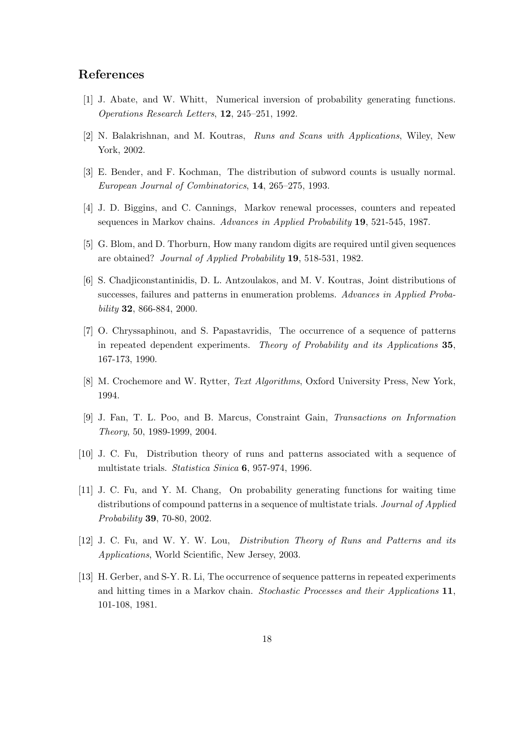### References

- [1] J. Abate, and W. Whitt, Numerical inversion of probability generating functions. Operations Research Letters, 12, 245–251, 1992.
- [2] N. Balakrishnan, and M. Koutras, Runs and Scans with Applications, Wiley, New York, 2002.
- [3] E. Bender, and F. Kochman, The distribution of subword counts is usually normal. European Journal of Combinatorics, 14, 265–275, 1993.
- [4] J. D. Biggins, and C. Cannings, Markov renewal processes, counters and repeated sequences in Markov chains. Advances in Applied Probability 19, 521-545, 1987.
- [5] G. Blom, and D. Thorburn, How many random digits are required until given sequences are obtained? Journal of Applied Probability 19, 518-531, 1982.
- [6] S. Chadjiconstantinidis, D. L. Antzoulakos, and M. V. Koutras, Joint distributions of successes, failures and patterns in enumeration problems. Advances in Applied Probability 32, 866-884, 2000.
- [7] O. Chryssaphinou, and S. Papastavridis, The occurrence of a sequence of patterns in repeated dependent experiments. Theory of Probability and its Applications 35, 167-173, 1990.
- [8] M. Crochemore and W. Rytter, Text Algorithms, Oxford University Press, New York, 1994.
- [9] J. Fan, T. L. Poo, and B. Marcus, Constraint Gain, Transactions on Information Theory, 50, 1989-1999, 2004.
- [10] J. C. Fu, Distribution theory of runs and patterns associated with a sequence of multistate trials. Statistica Sinica 6, 957-974, 1996.
- [11] J. C. Fu, and Y. M. Chang, On probability generating functions for waiting time distributions of compound patterns in a sequence of multistate trials. Journal of Applied Probability 39, 70-80, 2002.
- [12] J. C. Fu, and W. Y. W. Lou, Distribution Theory of Runs and Patterns and its Applications, World Scientific, New Jersey, 2003.
- [13] H. Gerber, and S-Y. R. Li, The occurrence of sequence patterns in repeated experiments and hitting times in a Markov chain. Stochastic Processes and their Applications 11, 101-108, 1981.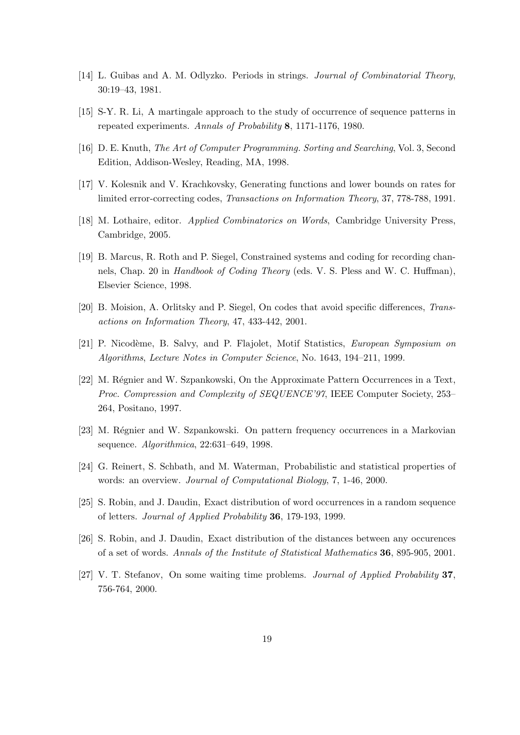- [14] L. Guibas and A. M. Odlyzko. Periods in strings. Journal of Combinatorial Theory, 30:19–43, 1981.
- [15] S-Y. R. Li, A martingale approach to the study of occurrence of sequence patterns in repeated experiments. Annals of Probability 8, 1171-1176, 1980.
- [16] D. E. Knuth, The Art of Computer Programming. Sorting and Searching, Vol. 3, Second Edition, Addison-Wesley, Reading, MA, 1998.
- [17] V. Kolesnik and V. Krachkovsky, Generating functions and lower bounds on rates for limited error-correcting codes, Transactions on Information Theory, 37, 778-788, 1991.
- [18] M. Lothaire, editor. Applied Combinatorics on Words, Cambridge University Press, Cambridge, 2005.
- [19] B. Marcus, R. Roth and P. Siegel, Constrained systems and coding for recording channels, Chap. 20 in *Handbook of Coding Theory* (eds. V. S. Pless and W. C. Huffman), Elsevier Science, 1998.
- [20] B. Moision, A. Orlitsky and P. Siegel, On codes that avoid specific differences, Transactions on Information Theory, 47, 433-442, 2001.
- [21] P. Nicodème, B. Salvy, and P. Flajolet, Motif Statistics, *European Symposium on* Algorithms, Lecture Notes in Computer Science, No. 1643, 194–211, 1999.
- [22] M. Régnier and W. Szpankowski, On the Approximate Pattern Occurrences in a Text, Proc. Compression and Complexity of SEQUENCE'97, IEEE Computer Society, 253– 264, Positano, 1997.
- [23] M. Régnier and W. Szpankowski. On pattern frequency occurrences in a Markovian sequence. Algorithmica, 22:631–649, 1998.
- [24] G. Reinert, S. Schbath, and M. Waterman, Probabilistic and statistical properties of words: an overview. Journal of Computational Biology, 7, 1-46, 2000.
- [25] S. Robin, and J. Daudin, Exact distribution of word occurrences in a random sequence of letters. Journal of Applied Probability 36, 179-193, 1999.
- [26] S. Robin, and J. Daudin, Exact distribution of the distances between any occurences of a set of words. Annals of the Institute of Statistical Mathematics 36, 895-905, 2001.
- [27] V. T. Stefanov, On some waiting time problems. Journal of Applied Probability 37, 756-764, 2000.